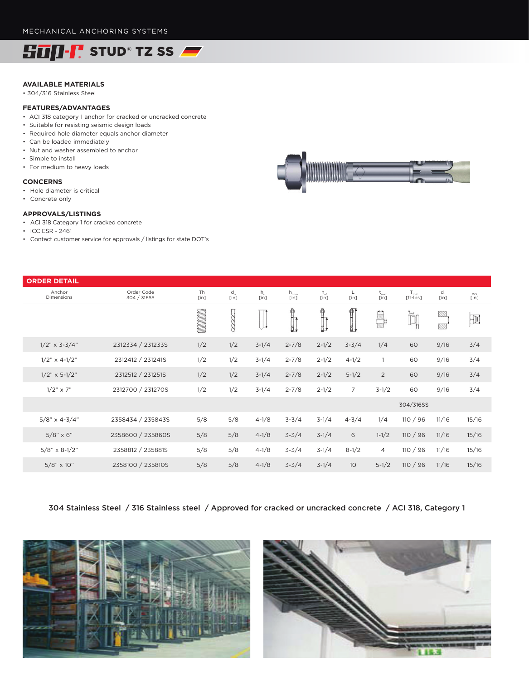

## **AVAILABLE MATERIALS**

• 304/316 Stainless Steel

## **FEATURES/ADVANTAGES**

- ACI 318 category 1 anchor for cracked or uncracked concrete
- Suitable for resisting seismic design loads
- Required hole diameter equals anchor diameter
- Can be loaded immediately
- Nut and washer assembled to anchor
- Simple to install
- For medium to heavy loads

### **CONCERNS**

- Hole diameter is critical
- Concrete only

#### **APPROVALS/LISTINGS**

- ACI 318 Category 1 for cracked concrete
- ICC ESR 2461
- Contact customer service for approvals / listings for state DOT's

| <b>ORDER DETAIL</b>  |                           |            |                  |                     |                          |                               |                 |                       |                                         |               |                            |
|----------------------|---------------------------|------------|------------------|---------------------|--------------------------|-------------------------------|-----------------|-----------------------|-----------------------------------------|---------------|----------------------------|
| Anchor<br>Dimensions | Order Code<br>304 / 316SS | Th<br>[in] | $d_o$<br>$[$ in] | $h_{\circ}$<br>[in] | $h_{\text{nom}}$<br>[in] | $h_{\text{ef}}$<br>[in]       | L<br>[in]       | $t_{\rm max}$<br>[in] | $T_{inst}$<br>$[ft-ibs]$                | $d_c$<br>[in] | $\widetilde{\mathsf{Lin}}$ |
|                      |                           |            |                  | Li                  |                          | Î.<br>$\overline{\mathbf{B}}$ | 骭<br>Ŏ,         |                       | $\prod_{i=1}^{\mathbf{T}_{\text{ext}}}$ | 22<br>99      | $\exists$                  |
| $1/2$ " x 3-3/4"     | 2312334 / 231233S         | 1/2        | 1/2              | $3-1/4$             | $2 - 7/8$                | $2 - 1/2$                     | $3 - 3/4$       | 1/4                   | 60                                      | 9/16          | 3/4                        |
| $1/2$ " x 4-1/2"     | 2312412 / 231241S         | 1/2        | 1/2              | $3-1/4$             | $2 - 7/8$                | $2 - 1/2$                     | $4 - 1/2$       | $\overline{1}$        | 60                                      | 9/16          | 3/4                        |
| $1/2$ " x 5-1/2"     | 2312512 / 231251S         | 1/2        | 1/2              | $3-1/4$             | $2 - 7/8$                | $2 - 1/2$                     | $5 - 1/2$       | $\overline{2}$        | 60                                      | 9/16          | 3/4                        |
| $1/2$ " $\times$ 7"  | 2312700 / 231270S         | 1/2        | 1/2              | $3-1/4$             | $2 - 7/8$                | $2 - 1/2$                     | $\overline{7}$  | $3-1/2$               | 60                                      | 9/16          | 3/4                        |
|                      |                           |            |                  |                     |                          |                               |                 |                       | 304/316SS                               |               |                            |
| $5/8$ " x 4-3/4"     | 2358434 / 235843S         | 5/8        | 5/8              | $4 - 1/8$           | $3 - 3/4$                | $3-1/4$                       | $4 - 3/4$       | 1/4                   | 110 / 96                                | 11/16         | 15/16                      |
| $5/8" \times 6"$     | 2358600 / 235860S         | 5/8        | 5/8              | $4 - 1/8$           | $3 - 3/4$                | $3-1/4$                       | 6               | $1 - 1/2$             | 110/96                                  | 11/16         | 15/16                      |
| $5/8$ " x 8-1/2"     | 2358812 / 235881S         | 5/8        | 5/8              | $4 - 1/8$           | $3 - 3/4$                | $3-1/4$                       | $8 - 1/2$       | $\overline{4}$        | 110 / 96                                | 11/16         | 15/16                      |
| $5/8" \times 10"$    | 2358100 / 235810S         | 5/8        | 5/8              | $4 - 1/8$           | $3 - 3/4$                | $3-1/4$                       | 10 <sup>°</sup> | $5 - 1/2$             | 110/96                                  | 11/16         | 15/16                      |

304 Stainless Steel / 316 Stainless steel / Approved for cracked or uncracked concrete / ACI 318, Category 1